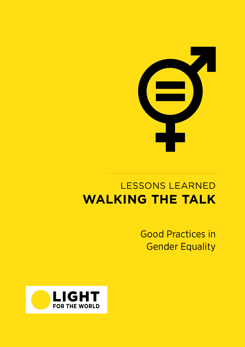

# LESSONS LEARNED **WALKING THE TALK**

Good Practices in Gender Equality

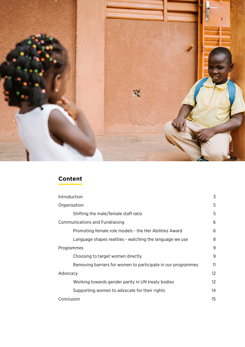

## **Content**

| Introduction                                                 |         |  |  |
|--------------------------------------------------------------|---------|--|--|
| Organisation                                                 | 5       |  |  |
| Shifting the male/female staff ratio                         | 5       |  |  |
| <b>Communications and Fundraising</b>                        |         |  |  |
| Promoting female role models - the Her Abilities Award       | 6       |  |  |
| Language shapes realities - watching the language we use     | 8       |  |  |
| Programmes                                                   |         |  |  |
| Choosing to target women directly                            | 9       |  |  |
| Removing barriers for women to participate in our programmes | 11      |  |  |
| Advocacy                                                     |         |  |  |
| Working towards gender parity in UN treaty bodies            | $12 \,$ |  |  |
| Supporting women to advocate for their rights                | 14      |  |  |
| Conclusion                                                   |         |  |  |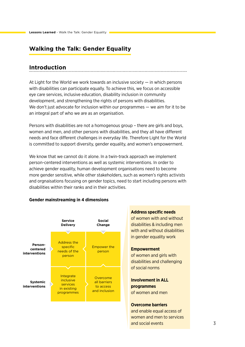## <span id="page-2-0"></span>**Walking the Talk: Gender Equality**

#### **Introduction**

At Light for the World we work towards an inclusive society  $-$  in which persons with disabilities can participate equally. To achieve this, we focus on accessible eye care services, inclusive education, disability inclusion in community development, and strengthening the rights of persons with disabilities. We don't just advocate for inclusion within our programmes — we aim for it to be an integral part of who we are as an organisation.

Persons with disabilities are not a homogenous group – there are girls and boys, women and men, and other persons with disabilities, and they all have different needs and face different challenges in everyday life. Therefore Light for the World is committed to support diversity, gender equality, and women's empowerment.

We know that we cannot do it alone. In a twin-track approach we implement person-centered interventions as well as systemic interventions. In order to achieve gender equality, human development organisations need to become more gender sensitive, while other stakeholders, such as women's rights activists and orgnaisations focusing on gender topics, need to start including persons with disabilities within their ranks and in their activities.

#### **Gender mainstreaming in 4 dimensions**



#### **Address specific needs**

of women with and without disabilities & including men with and without disabilities in gender equality work

#### **Empowerment**

of women and girls with disabilities and challenging of social norms

#### **Involvement in ALL programmes** of women and men

#### **Overcome barriers**

and enable equal access of women and men to services and social events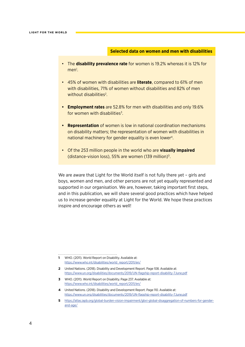#### **Selected data on women and men with disabilities**

- The **disability prevalence rate** for women is 19.2% whereas it is 12% for men<sup>1</sup>.
- 45% of women with disabilities are **literate**, compared to 61% of men with disabilities, 71% of women without disabilities and 82% of men without disabilities<sup>2</sup>.
- **• Employment rates** are 52.8% for men with disabilities and only 19.6% for women with disabilities<sup>3</sup>.
- **• Representation** of women is low in national coordination mechanisms on disability matters; the representation of women with disabilities in national machinery for gender equality is even lower<sup>4</sup>.
- Of the 253 million people in the world who are **visually impaired** (distance-vision loss), 55% are women (139 million)<sup>5</sup>.

We are aware that Light for the World itself is not fully there yet - girls and boys, women and men, and other persons are not yet equally represented and supported in our organisation. We are, however, taking important first steps, and in this publication, we will share several good practices which have helped us to increase gender equality at Light for the World. We hope these practices inspire and encourage others as well!

**1** WHO. (2011). World Report on Disability. Available at: [https://www.who.int/disabilities/world\\_report/2011/en/](https://www.who.int/disabilities/world_report/2011/en/)

- **2** United Nations. (2018). Disability and Development Report. Page 108. Available at: <https://www.un.org/disabilities/documents/2019/UN-flagship-report-disability-7June.pdf>
- **3** WHO. (2011). World Report on Disability. Page 237. Available at: [https://www.who.int/disabilities/world\\_report/2011/en/](https://www.who.int/disabilities/world_report/2011/en/)
- **4** United Nations. (2018). Disability and Development Report. Page 110. Available at: <https://www.un.org/disabilities/documents/2019/UN-flagship-report-disability-7June.pdf>
- **5** [https://atlas.iapb.org/global-burden-vision-impairment/gbvi-global-disaggregation-of-numbers-for-gender](https://atlas.iapb.org/global-burden-vision-impairment/gbvi-global-disaggregation-of-numbers-for-gen)[and-age/](https://atlas.iapb.org/global-burden-vision-impairment/gbvi-global-disaggregation-of-numbers-for-gen)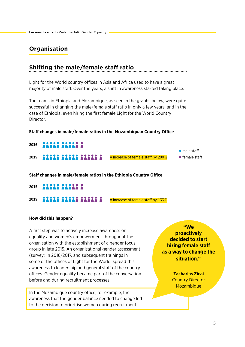## <span id="page-4-0"></span>**Organisation**

## **Shifting the male/female staff ratio**

Light for the World country offices in Asia and Africa used to have a great majority of male staff. Over the years, a shift in awareness started taking place.

The teams in Ethiopia and Mozambique, as seen in the graphs below, were quite successful in changing the male/female staff ratio in only a few years, and in the case of Ethiopia, even hiring the first female Light for the World Country Director.

#### **Staff changes in male/female ratios in the Mozambiquan Country Office**

| 2016 22222 22222 2                 |                                         |                        |
|------------------------------------|-----------------------------------------|------------------------|
|                                    |                                         | $\bullet$ male staff   |
| 2019 <b>11111 11111 11111 1111</b> | $=$ increase of female staff by 200 $%$ | $\bullet$ female staff |

**Staff changes in male/female ratios in the Ethiopia Country Office**

- **ARABA ARABA A 2015**
- **2019 <b>COLORED BUILDER** COLORED **E** increase of female staff by 133 %

#### **How did this happen?**

A first step was to actively increase awareness on equality and women's empowerment throughout the organisation with the establishment of a gender focus group in late 2015. An organisational gender assessment (survey) in 2016/2017, and subsequent trainings in some of the offices of Light for the World, spread this awareness to leadership and general staff of the country offices. Gender equality became part of the conversation before and during recruitment processes.

In the Mozambique country office, for example, the awareness that the gender balance needed to change led to the decision to prioritise women during recruitment.

**"We proactively decided to start hiring female staff as a way to change the situation."**

> **Zacharias Zicai** Country Director Mozambique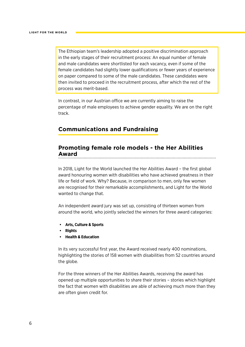<span id="page-5-0"></span>The Ethiopian team's leadership adopted a positive discrimination approach in the early stages of their recruitment process: An equal number of female and male candidates were shortlisted for each vacancy, even if some of the female candidates had slightly lower qualifications or fewer years of experience on paper compared to some of the male candidates. These candidates were then invited to proceed in the recruitment process, after which the rest of the process was merit-based.

In contrast, in our Austrian office we are currently aiming to raise the percentage of male employees to achieve gender equality. We are on the right track.

## **Communications and Fundraising**

## **Promoting female role models - the Her Abilities Award**

In 2018, Light for the World launched the Her Abilities Award – the first global award honouring women with disabilities who have achieved greatness in their life or field of work. Why? Because, in comparison to men, only few women are recognised for their remarkable accomplishments, and Light for the World wanted to change that.

An independent award jury was set up, consisting of thirteen women from around the world, who jointly selected the winners for three award categories:

- **• Arts, Culture & Sports**
- **• Rights**
- **• Health & Education**

In its very successful first year, the Award received nearly 400 nominations, highlighting the stories of 158 women with disabilities from 52 countries around the globe.

For the three winners of the Her Abilities Awards, receiving the award has opened up multiple opportunities to share their stories – stories which highlight the fact that women with disabilities are able of achieving much more than they are often given credit for.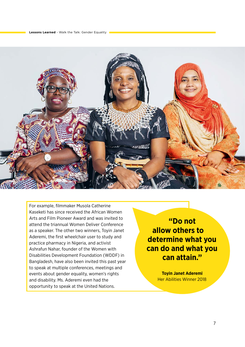

For example, filmmaker Musola Catherine Kaseketi has since received the African Women Arts and Film Pioneer Award and was invited to attend the triannual Women Deliver Conference as a speaker. The other two winners, Toyin Janet Aderemi, the first wheelchair user to study and practice pharmacy in Nigeria, and activist Ashrafun Nahar, founder of the Women with Disabilities Development Foundation (WDDF) in Bangladesh, have also been invited this past year to speak at multiple conferences, meetings and events about gender equality, women's rights and disability. Ms. Aderemi even had the opportunity to speak at the United Nations.

**"Do not allow others to determine what you can do and what you can attain."**

> **Toyin Janet Aderemi** Her Abilities Winner 2018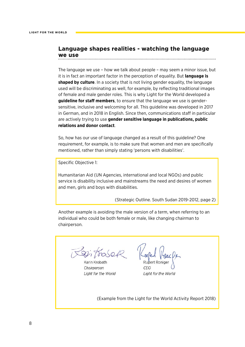#### <span id="page-7-0"></span>**Language shapes realities - watching the language we use**

The language we use – how we talk about people – may seem a minor issue, but it is in fact an important factor in the perception of equality. But **language is shaped by culture**. In a society that is not living gender equality, the language used will be discriminating as well, for example, by reflecting traditional images of female and male gender roles. This is why Light for the World developed a **guideline for staff members**, to ensure that the language we use is gendersensitive, inclusive and welcoming for all. This guideline was developed in 2017 in German, and in 2018 in English. Since then, communications staff in particular are actively trying to use **gender sensitive language in publications, public relations and donor contact**.

So, how has our use of language changed as a result of this guideline? One requirement, for example, is to make sure that women and men are specifically mentioned, rather than simply stating 'persons with disabilities'.

Specific Objective 1:

Humanitarian Aid (UN Agencies, international and local NGOs) and public service is disability inclusive and mainstreams the need and desires of women and men, girls and boys with disabilities.

(Strategic Outline. South Sudan 2019-2012, page 2)

Another example is avoiding the male version of a term, when referring to an individual who could be both female or male, like changing chairman to chairperson.

Ri Trosef

Karin Krobath Chairperson Light for the World

Light for the World

(Example from the Light for the World Activity Report 2018)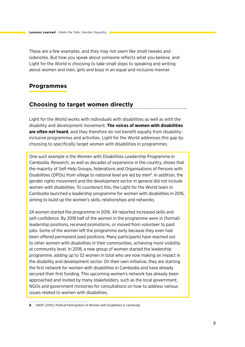<span id="page-8-0"></span>These are a few examples, and they may not seem like small tweaks and sidenotes. But how you speak about someone reflects what you believe, and Light for the World is choosing to take small steps to speaking and writing about women and men, girls and boys in an equal and inclusive manner.

## **Programmes**

## **Choosing to target women directly**

Light for the World works with individuals with disabilities as well as with the disability and development movement. **The voices of women with disabilities are often not heard**, and they therefore do not benefit equally from disabilityinclusive programmes and activities. Light for the World addresses this gap by choosing to specifically target women with disabilities in programmes.

One such example is the Women with Disabilities Leadership Programme in Cambodia. Research, as well as decades of experience in the country, shows that the majority of Self-Help Groups, federations and Organisations of Persons with Disabilities (DPOs) from village to national level are led by men<sup>6</sup>. In addition, the gender rights movement and the development sector in general did not include women with disabilities. To counteract this, the Light for the World team in Cambodia launched a leadership programme for women with disabilities in 2016, aiming to build up the women's skills, relationships and networks.

24 women started the programme in 2016. All reported increased skills and self-confidence. By 2018 half of the women in the programme were in (formal) leadership positions, received promotions, or moved from volunteer to paid jobs. Some of the women left the programme early because they even had been offered permanent paid positions. Many participants have reached out to other women with disabilities in their communities, achieving more visibility at community level. In 2018, a new group of women started the leadership programme, adding up to 52 women in total who are now making an impact in the disability and development sector. On their own initiative, they are starting the first network for women with disabilities in Cambodia and have already secured their first funding. This upcoming women's network has already been approached and invited by many stakeholders, such as the local government, NGOs and government ministries for consultations on how to address various issues related to women with disabilities.

**<sup>6</sup>** UNDP. (2010). Political Participation of Women with Disabilities in Cambodia.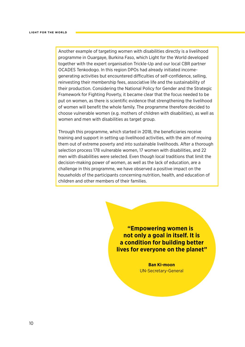Another example of targeting women with disabilities directly is a livelihood programme in Ouargaye, Burkina Faso, which Light for the World developed together with the expert organisation Trickle-Up and our local CBR partner OCADES Tenkodogo. In this region DPOs had already initiated incomegenerating activities but encountered difficulties of self-confidence, selling, reinvesting their membership fees, associative life and the sustainability of their production. Considering the National Policy for Gender and the Strategic Framework for Fighting Poverty, it became clear that the focus needed to be put on women, as there is scientific evidence that strengthening the livelihood of women will benefit the whole family. The programme therefore decided to choose vulnerable women (e.g. mothers of children with disabilities), as well as women and men with disabilities as target group.

Through this programme, which started in 2018, the beneficiaries receive training and support in setting up livelihood activities, with the aim of moving them out of extreme poverty and into sustainable livelihoods. After a thorough selection process 178 vulnerable women, 17 women with disabilities, and 22 men with disabilities were selected. Even though local traditions that limit the decision-making power of women, as well as the lack of education, are a challenge in this programme, we have observed a positive impact on the households of the participants concerning nutrition, health, and education of children and other members of their families.

> **"Empowering women is not only a goal in itself. It is a condition for building better lives for everyone on the planet"**

> > **Ban Ki-moon** UN-Secretary-General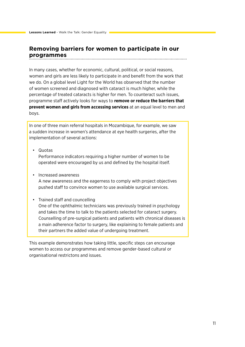## <span id="page-10-0"></span>**Removing barriers for women to participate in our programmes**

In many cases, whether for economic, cultural, political, or social reasons, women and girls are less likely to participate in and benefit from the work that we do. On a global level Light for the World has observed that the number of women screened and diagnosed with cataract is much higher, while the percentage of treated cataracts is higher for men. To counteract such issues, programme staff actively looks for ways to **remove or reduce the barriers that prevent women and girls from accessing services** at an equal level to men and boys.

In one of three main referral hospitals in Mozambique, for example, we saw a sudden increase in women's attendance at eye health surgeries, after the implementation of several actions:

• Quotas

Performance indicators requiring a higher number of women to be operated were encouraged by us and defined by the hospital itself.

• Increased awareness A new awareness and the eagerness to comply with project objectives pushed staff to convince women to use available surgical services.

#### • Trained staff and councelling

One of the ophthalmic technicians was previously trained in psychology and takes the time to talk to the patients selected for cataract surgery. Counselling of pre-surgical patients and patients with chronical diseases is a main adherence factor to surgery, like explaining to female patients and their partners the added value of undergoing treatment.

This example demonstrates how taking little, specific steps can encourage women to access our programmes and remove gender-based cultural or organisational restrictons and issues.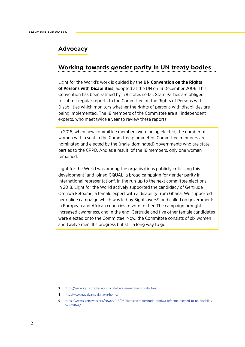## <span id="page-11-0"></span>**Advocacy**

## **Working towards gender parity in UN treaty bodies**

Light for the World's work is guided by the **UN Convention on the Rights of Persons with Disabilities**, adopted at the UN on 13 December 2006. This Convention has been ratified by 178 states so far. State Parties are obliged to submit regular reports to the Committee on the Rights of Persons with Disabilities which monitors whether the rights of persons with disabilities are being implemented. The 18 members of the Committee are all independent experts, who meet twice a year to review these reports.

In 2016, when new committee members were being elected, the number of women with a seat in the Committee plummeted. Committee members are nominated and elected by the (male-dominated) governments who are state parties to the CRPD. And as a result, of the 18 members, only one woman remained.

Light for the World was among the organisations publicly criticising this development<sup>7</sup> and joined GQUAL, a broad campaign for gender parity in international representation<sup>8</sup>. In the run-up to the next committee elections in 2018, Light for the World actively supported the candidacy of Gertrude Oforiwa Fefoame, a female expert with a disability from Ghana. We supported her online campaign which was led by Sightsavers<sup>9</sup>, and called on governments in European and African countries to vote for her. The campaign brought increased awareness, and in the end, Gertrude and five other female candidates were elected onto the Committee. Now, the Committee consists of six women and twelve men. It's progress but still a long way to go!

- **7** <https://www.light-for-the-world.org/where-are-women-disabilities>
- **8** <http://www.gqualcampaign.org/home/>

**<sup>9</sup>** [https://www.sightsavers.org/news/2018/06/sightsavers-gertrude-oforiwa-fefoame-elected-to-un-disability](https://www.sightsavers.org/news/2018/06/sightsavers-gertrude-oforiwa-fefoame-elected-to-un-disabili)[committee/](https://www.sightsavers.org/news/2018/06/sightsavers-gertrude-oforiwa-fefoame-elected-to-un-disabili)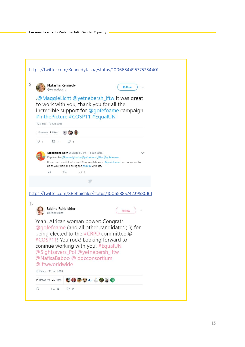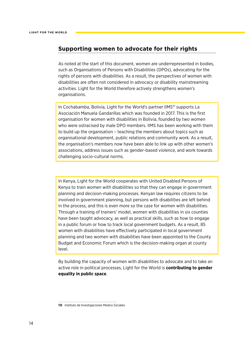#### <span id="page-13-0"></span>**Supporting women to advocate for their rights**

As noted at the start of this document, women are underrepresented in bodies, such as Organisations of Persons with Disabilities (DPOs), advocating for the rights of persons with disabilities. As a result, the perspectives of women with disabilities are often not considered in advocacy or disability mainstreaming activities. Light for the World therefore actively strengthens women's organisations.

In Cochabamba, Bolivia, Light for the World's partner IIMS<sup>10</sup> supports La Asociación Manuela Gandarillas which was founded in 2017. This is the first organisation for women with disabilities in Bolivia, founded by two women who were ostracised by male DPO members. IIMS has been working with them to build up the organisation – teaching the members about topics such as organisational development, public relations and community work. As a result, the organisation's members now have been able to link up with other women's associations, address issues such as gender-based violence, and work towards challenging socio-cultural norms.

In Kenya, Light for the World cooperates with United Disabled Persons of Kenya to train women with disabilities so that they can engage in government planning and decision-making processes. Kenyan law requires citizens to be involved in government planning, but persons with disabilities are left behind in the process, and this is even more so the case for women with disabilities. Through a training of trainers' model, women with disabilities in six counties have been taught advocacy, as well as practical skills, such as how to engage in a public forum or how to track local government budgets. As a result, 85 women with disabilities have effectively participated in local government planning and two women with disabilities have been appointed to the County Budget and Economic Forum which is the decision-making organ at county level.

By building the capacity of women with disabilities to advocate and to take an active role in political processes, Light for the World is **contributing to gender equality in public space**.

**10** Instituto de Investigaciones Medico Sociales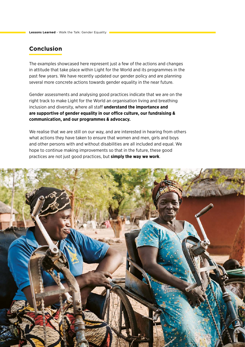## <span id="page-14-0"></span>**Conclusion**

The examples showcased here represent just a few of the actions and changes in attitude that take place within Light for the World and its programmes in the past few years. We have recently updated our gender policy and are planning several more concrete actions towards gender equality in the near future.

Gender assessments and analysing good practices indicate that we are on the right track to make Light for the World an organisation living and breathing inclusion and diversity, where all staff **understand the importance and are supportive of gender equality in our office culture, our fundraising & communication, and our programmes & advocacy.**

We realise that we are still on our way, and are interested in hearing from others what actions they have taken to ensure that women and men, girls and boys and other persons with and without disabilities are all included and equal. We hope to continue making improvements so that in the future, these good practices are not just good practices, but **simply the way we work**.